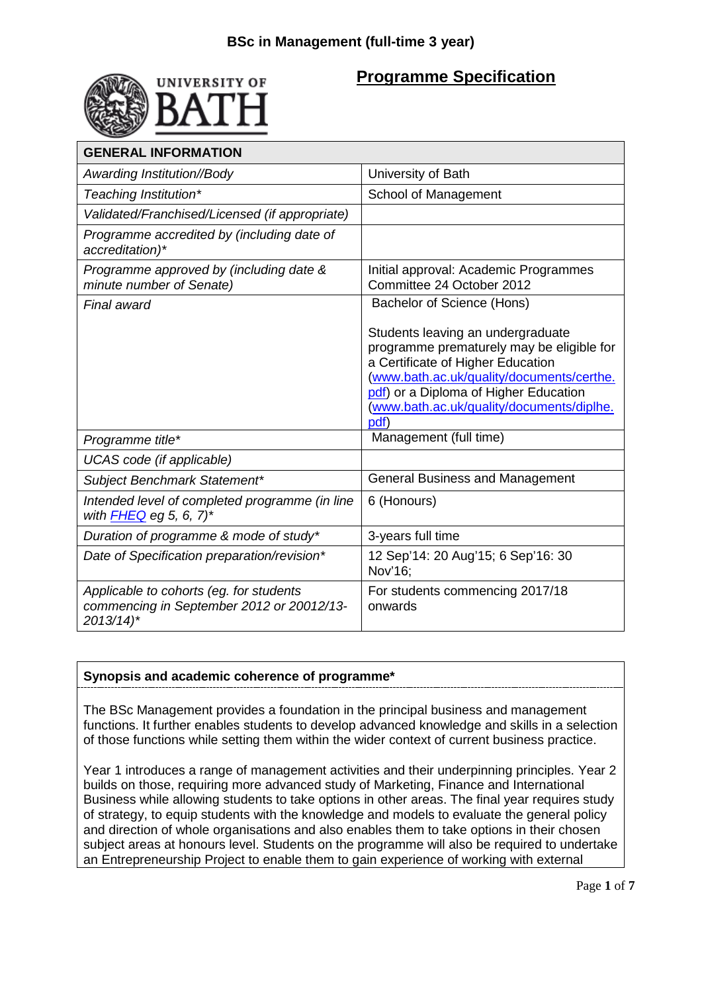

# **Programme Specification**

| <b>GENERAL INFORMATION</b>                                                                                     |                                                                                                                                                                                                                                                                |
|----------------------------------------------------------------------------------------------------------------|----------------------------------------------------------------------------------------------------------------------------------------------------------------------------------------------------------------------------------------------------------------|
| Awarding Institution//Body                                                                                     | University of Bath                                                                                                                                                                                                                                             |
| Teaching Institution*                                                                                          | School of Management                                                                                                                                                                                                                                           |
| Validated/Franchised/Licensed (if appropriate)                                                                 |                                                                                                                                                                                                                                                                |
| Programme accredited by (including date of<br>accreditation)*                                                  |                                                                                                                                                                                                                                                                |
| Programme approved by (including date &<br>minute number of Senate)                                            | Initial approval: Academic Programmes<br>Committee 24 October 2012                                                                                                                                                                                             |
| Final award                                                                                                    | Bachelor of Science (Hons)                                                                                                                                                                                                                                     |
|                                                                                                                | Students leaving an undergraduate<br>programme prematurely may be eligible for<br>a Certificate of Higher Education<br>(www.bath.ac.uk/quality/documents/certhe.<br>pdf) or a Diploma of Higher Education<br>(www.bath.ac.uk/quality/documents/diplhe.<br>pdf) |
| Programme title*                                                                                               | Management (full time)                                                                                                                                                                                                                                         |
| UCAS code (if applicable)                                                                                      |                                                                                                                                                                                                                                                                |
| Subject Benchmark Statement*                                                                                   | <b>General Business and Management</b>                                                                                                                                                                                                                         |
| Intended level of completed programme (in line<br>with FHEQ eg 5, 6, 7)*                                       | 6 (Honours)                                                                                                                                                                                                                                                    |
| Duration of programme & mode of study*                                                                         | 3-years full time                                                                                                                                                                                                                                              |
| Date of Specification preparation/revision*                                                                    | 12 Sep'14: 20 Aug'15; 6 Sep'16: 30<br>Nov'16;                                                                                                                                                                                                                  |
| Applicable to cohorts (eg. for students<br>commencing in September 2012 or 20012/13-<br>$2013/14$ <sup>*</sup> | For students commencing 2017/18<br>onwards                                                                                                                                                                                                                     |

# **Synopsis and academic coherence of programme\***

The BSc Management provides a foundation in the principal business and management functions. It further enables students to develop advanced knowledge and skills in a selection of those functions while setting them within the wider context of current business practice.

Year 1 introduces a range of management activities and their underpinning principles. Year 2 builds on those, requiring more advanced study of Marketing, Finance and International Business while allowing students to take options in other areas. The final year requires study of strategy, to equip students with the knowledge and models to evaluate the general policy and direction of whole organisations and also enables them to take options in their chosen subject areas at honours level. Students on the programme will also be required to undertake an Entrepreneurship Project to enable them to gain experience of working with external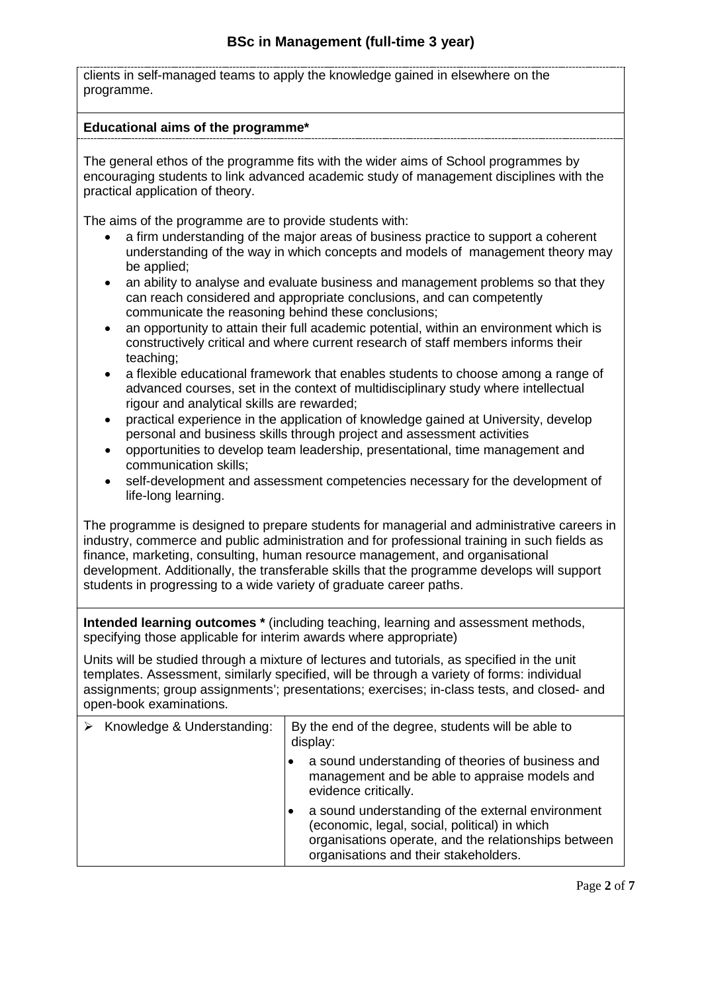clients in self-managed teams to apply the knowledge gained in elsewhere on the programme.

#### **Educational aims of the programme\***

The general ethos of the programme fits with the wider aims of School programmes by encouraging students to link advanced academic study of management disciplines with the practical application of theory.

The aims of the programme are to provide students with:

- a firm understanding of the major areas of business practice to support a coherent understanding of the way in which concepts and models of management theory may be applied;
- an ability to analyse and evaluate business and management problems so that they can reach considered and appropriate conclusions, and can competently communicate the reasoning behind these conclusions;
- an opportunity to attain their full academic potential, within an environment which is constructively critical and where current research of staff members informs their teaching;
- a flexible educational framework that enables students to choose among a range of advanced courses, set in the context of multidisciplinary study where intellectual rigour and analytical skills are rewarded;
- practical experience in the application of knowledge gained at University, develop personal and business skills through project and assessment activities
- opportunities to develop team leadership, presentational, time management and communication skills;
- self-development and assessment competencies necessary for the development of life-long learning.

The programme is designed to prepare students for managerial and administrative careers in industry, commerce and public administration and for professional training in such fields as finance, marketing, consulting, human resource management, and organisational development. Additionally, the transferable skills that the programme develops will support students in progressing to a wide variety of graduate career paths.

**Intended learning outcomes \*** (including teaching, learning and assessment methods, specifying those applicable for interim awards where appropriate)

Units will be studied through a mixture of lectures and tutorials, as specified in the unit templates. Assessment, similarly specified, will be through a variety of forms: individual assignments; group assignments'; presentations; exercises; in-class tests, and closed- and open-book examinations.

| Knowledge & Understanding: | By the end of the degree, students will be able to<br>display: |                                                                                                                                                                                                     |
|----------------------------|----------------------------------------------------------------|-----------------------------------------------------------------------------------------------------------------------------------------------------------------------------------------------------|
|                            |                                                                | a sound understanding of theories of business and<br>management and be able to appraise models and<br>evidence critically.                                                                          |
|                            |                                                                | a sound understanding of the external environment<br>(economic, legal, social, political) in which<br>organisations operate, and the relationships between<br>organisations and their stakeholders. |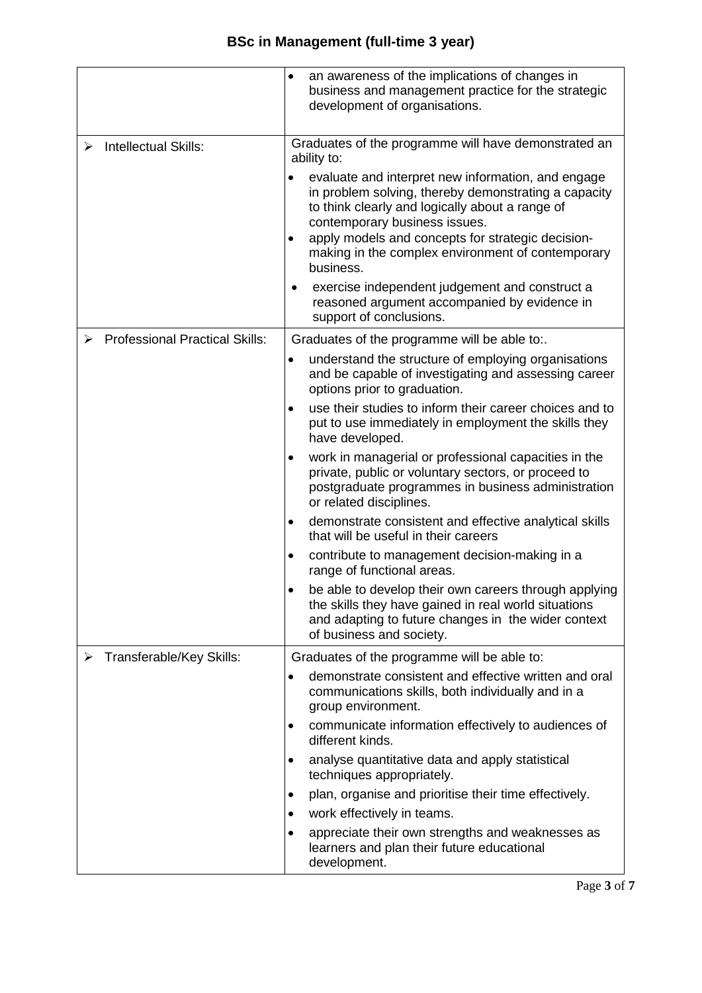|                                       | an awareness of the implications of changes in<br>٠                                                                                                                                                                                                                                                                   |
|---------------------------------------|-----------------------------------------------------------------------------------------------------------------------------------------------------------------------------------------------------------------------------------------------------------------------------------------------------------------------|
|                                       | business and management practice for the strategic<br>development of organisations.                                                                                                                                                                                                                                   |
| <b>Intellectual Skills:</b>           | Graduates of the programme will have demonstrated an<br>ability to:                                                                                                                                                                                                                                                   |
|                                       | evaluate and interpret new information, and engage<br>in problem solving, thereby demonstrating a capacity<br>to think clearly and logically about a range of<br>contemporary business issues.<br>apply models and concepts for strategic decision-<br>making in the complex environment of contemporary<br>business. |
|                                       | exercise independent judgement and construct a<br>reasoned argument accompanied by evidence in<br>support of conclusions.                                                                                                                                                                                             |
| <b>Professional Practical Skills:</b> | Graduates of the programme will be able to:.                                                                                                                                                                                                                                                                          |
|                                       | understand the structure of employing organisations<br>and be capable of investigating and assessing career<br>options prior to graduation.                                                                                                                                                                           |
|                                       | use their studies to inform their career choices and to<br>$\bullet$<br>put to use immediately in employment the skills they<br>have developed.                                                                                                                                                                       |
|                                       | work in managerial or professional capacities in the<br>٠<br>private, public or voluntary sectors, or proceed to<br>postgraduate programmes in business administration<br>or related disciplines.                                                                                                                     |
|                                       | demonstrate consistent and effective analytical skills<br>٠<br>that will be useful in their careers                                                                                                                                                                                                                   |
|                                       | contribute to management decision-making in a<br>٠<br>range of functional areas.                                                                                                                                                                                                                                      |
|                                       | be able to develop their own careers through applying<br>the skills they have gained in real world situations<br>and adapting to future changes in the wider context<br>of business and society.                                                                                                                      |
| Transferable/Key Skills:<br>➤         | Graduates of the programme will be able to:                                                                                                                                                                                                                                                                           |
|                                       | demonstrate consistent and effective written and oral<br>communications skills, both individually and in a<br>group environment.                                                                                                                                                                                      |
|                                       | communicate information effectively to audiences of<br>٠<br>different kinds.                                                                                                                                                                                                                                          |
|                                       | analyse quantitative data and apply statistical<br>$\bullet$<br>techniques appropriately.                                                                                                                                                                                                                             |
|                                       | plan, organise and prioritise their time effectively.<br>٠                                                                                                                                                                                                                                                            |
|                                       | work effectively in teams.                                                                                                                                                                                                                                                                                            |
|                                       | appreciate their own strengths and weaknesses as<br>learners and plan their future educational<br>development.                                                                                                                                                                                                        |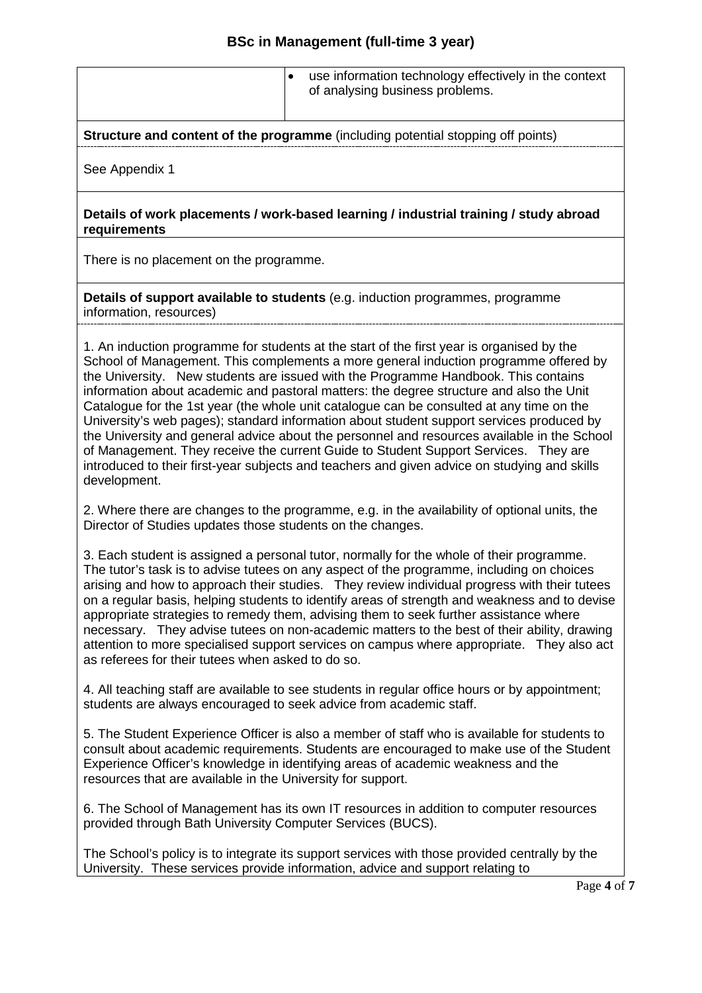|  | use information technology effectively in the context<br>of analysing business problems. |  |
|--|------------------------------------------------------------------------------------------|--|
|  |                                                                                          |  |

**Structure and content of the programme** (including potential stopping off points)

See Appendix 1

**Details of work placements / work-based learning / industrial training / study abroad requirements**

There is no placement on the programme.

**Details of support available to students** (e.g. induction programmes, programme information, resources)

1. An induction programme for students at the start of the first year is organised by the School of Management. This complements a more general induction programme offered by the University. New students are issued with the Programme Handbook. This contains information about academic and pastoral matters: the degree structure and also the Unit Catalogue for the 1st year (the whole unit catalogue can be consulted at any time on the University's web pages); standard information about student support services produced by the University and general advice about the personnel and resources available in the School of Management. They receive the current Guide to Student Support Services. They are introduced to their first-year subjects and teachers and given advice on studying and skills development.

2. Where there are changes to the programme, e.g. in the availability of optional units, the Director of Studies updates those students on the changes.

3. Each student is assigned a personal tutor, normally for the whole of their programme. The tutor's task is to advise tutees on any aspect of the programme, including on choices arising and how to approach their studies. They review individual progress with their tutees on a regular basis, helping students to identify areas of strength and weakness and to devise appropriate strategies to remedy them, advising them to seek further assistance where necessary. They advise tutees on non-academic matters to the best of their ability, drawing attention to more specialised support services on campus where appropriate. They also act as referees for their tutees when asked to do so.

4. All teaching staff are available to see students in regular office hours or by appointment; students are always encouraged to seek advice from academic staff.

5. The Student Experience Officer is also a member of staff who is available for students to consult about academic requirements. Students are encouraged to make use of the Student Experience Officer's knowledge in identifying areas of academic weakness and the resources that are available in the University for support.

6. The School of Management has its own IT resources in addition to computer resources provided through Bath University Computer Services (BUCS).

The School's policy is to integrate its support services with those provided centrally by the University. These services provide information, advice and support relating to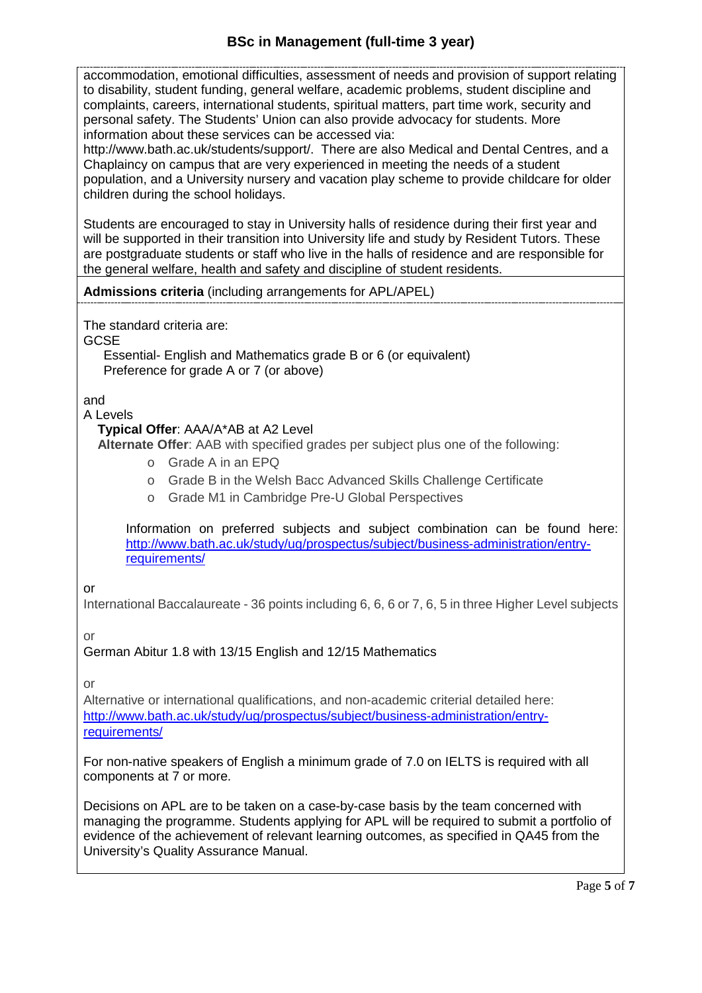accommodation, emotional difficulties, assessment of needs and provision of support relating to disability, student funding, general welfare, academic problems, student discipline and complaints, careers, international students, spiritual matters, part time work, security and personal safety. The Students' Union can also provide advocacy for students. More information about these services can be accessed via:

http://www.bath.ac.uk/students/support/. There are also Medical and Dental Centres, and a Chaplaincy on campus that are very experienced in meeting the needs of a student population, and a University nursery and vacation play scheme to provide childcare for older children during the school holidays.

Students are encouraged to stay in University halls of residence during their first year and will be supported in their transition into University life and study by Resident Tutors. These are postgraduate students or staff who live in the halls of residence and are responsible for the general welfare, health and safety and discipline of student residents.

## **Admissions criteria** (including arrangements for APL/APEL)

The standard criteria are:

**GCSE** 

Essential- English and Mathematics grade B or 6 (or equivalent) Preference for grade A or 7 (or above)

and

## A Levels

## **Typical Offer**: AAA/A\*AB at A2 Level

**Alternate Offer**: AAB with specified grades per subject plus one of the following:

- o Grade A in an EPQ
- o Grade B in the Welsh Bacc Advanced Skills Challenge Certificate
- o Grade M1 in Cambridge Pre-U Global Perspectives

Information on preferred subjects and subject combination can be found here: [http://www.bath.ac.uk/study/ug/prospectus/subject/business-administration/entry](http://www.bath.ac.uk/study/ug/prospectus/subject/business-administration/entry-requirements/)[requirements/](http://www.bath.ac.uk/study/ug/prospectus/subject/business-administration/entry-requirements/)

#### or

International Baccalaureate - 36 points including 6, 6, 6 or 7, 6, 5 in three Higher Level subjects

or

# German Abitur 1.8 with 13/15 English and 12/15 Mathematics

or

Alternative or international qualifications, and non-academic criterial detailed here: [http://www.bath.ac.uk/study/ug/prospectus/subject/business-administration/entry](http://www.bath.ac.uk/study/ug/prospectus/subject/business-administration/entry-requirements/)[requirements/](http://www.bath.ac.uk/study/ug/prospectus/subject/business-administration/entry-requirements/)

For non-native speakers of English a minimum grade of 7.0 on IELTS is required with all components at 7 or more.

Decisions on APL are to be taken on a case-by-case basis by the team concerned with managing the programme. Students applying for APL will be required to submit a portfolio of evidence of the achievement of relevant learning outcomes, as specified in QA45 from the University's Quality Assurance Manual.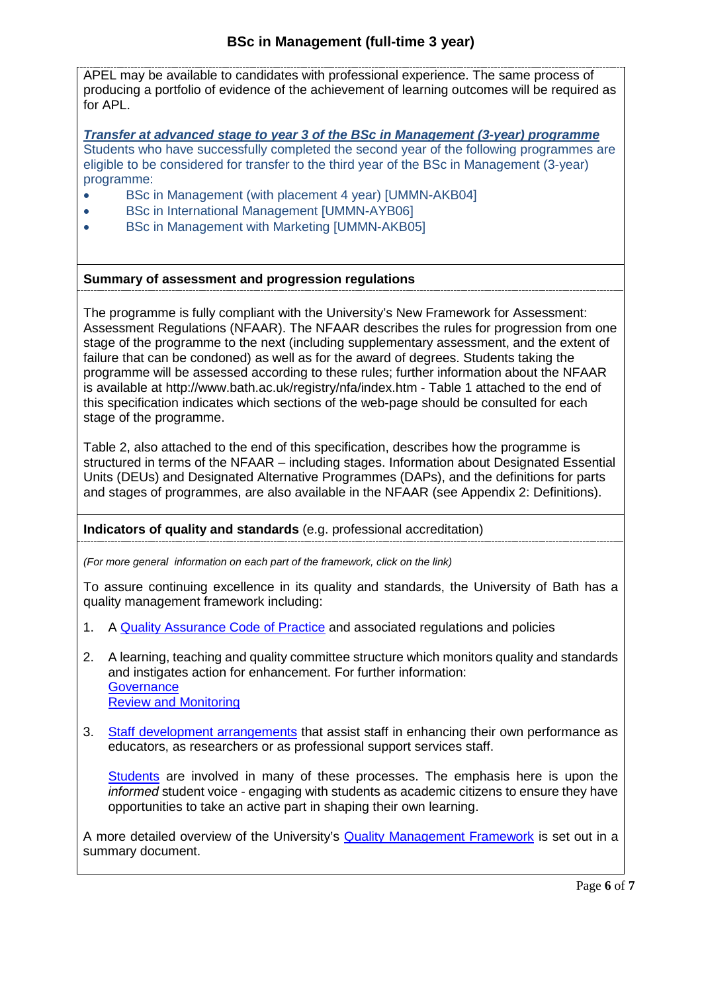APEL may be available to candidates with professional experience. The same process of producing a portfolio of evidence of the achievement of learning outcomes will be required as for APL.

*Transfer at advanced stage to year 3 of the BSc in Management (3-year) programme* Students who have successfully completed the second year of the following programmes are eligible to be considered for transfer to the third year of the BSc in Management (3-year) programme:

- BSc in Management (with placement 4 year) [UMMN-AKB04]
- BSc in International Management [UMMN-AYB06]
- BSc in Management with Marketing [UMMN-AKB05]

#### **Summary of assessment and progression regulations**

The programme is fully compliant with the University's New Framework for Assessment: Assessment Regulations (NFAAR). The NFAAR describes the rules for progression from one stage of the programme to the next (including supplementary assessment, and the extent of failure that can be condoned) as well as for the award of degrees. Students taking the programme will be assessed according to these rules; further information about the NFAAR is available at http://www.bath.ac.uk/registry/nfa/index.htm - Table 1 attached to the end of this specification indicates which sections of the web-page should be consulted for each stage of the programme.

Table 2, also attached to the end of this specification, describes how the programme is structured in terms of the NFAAR – including stages. Information about Designated Essential Units (DEUs) and Designated Alternative Programmes (DAPs), and the definitions for parts and stages of programmes, are also available in the NFAAR (see Appendix 2: Definitions).

#### **Indicators of quality and standards** (e.g. professional accreditation)

*(For more general information on each part of the framework, click on the link)*

To assure continuing excellence in its quality and standards, the University of Bath has a quality management framework including:

- 1. A [Quality Assurance Code of Practice](http://www.bath.ac.uk/quality/cop/statements.html) and associated regulations and policies
- 2. A learning, teaching and quality committee structure which monitors quality and standards and instigates action for enhancement. For further information: **[Governance](http://www.bath.ac.uk/quality/documents/QA3-PS-Guid-QS-Gov.docx)** [Review and Monitoring](http://www.bath.ac.uk/quality/documents/QA3-PS-Guid-QS-RevMon.docx)
- 3. [Staff development arrangements](http://www.bath.ac.uk/quality/documents/QA3-PS-Guid-QS-ASD.docx) that assist staff in enhancing their own performance as educators, as researchers or as professional support services staff.

[Students](http://www.bath.ac.uk/quality/documents/QA3-PS-Guid-QS-StuVoice.docx) are involved in many of these processes. The emphasis here is upon the *informed* student voice - engaging with students as academic citizens to ensure they have opportunities to take an active part in shaping their own learning.

A more detailed overview of the University's [Quality Management Framework](http://www.bath.ac.uk/quality/documents/approach-to-quality-management.pdf) is set out in a summary document.